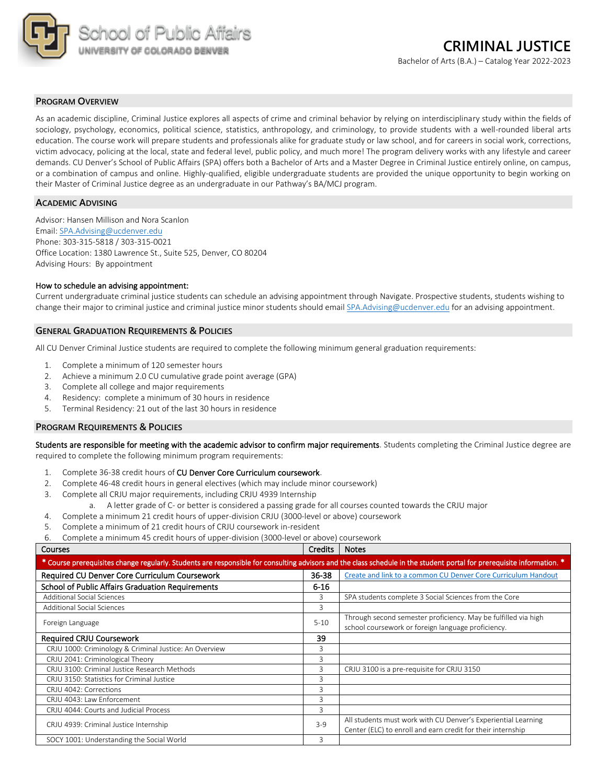

## **PROGRAM OVERVIEW**

As an academic discipline, Criminal Justice explores all aspects of crime and criminal behavior by relying on interdisciplinary study within the fields of sociology, psychology, economics, political science, statistics, anthropology, and criminology, to provide students with a well-rounded liberal arts education. The course work will prepare students and professionals alike for graduate study or law school, and for careers in social work, corrections, victim advocacy, policing at the local, state and federal level, public policy, and much more! The program delivery works with any lifestyle and career demands. CU Denver's School of Public Affairs (SPA) offers both a Bachelor of Arts and a Master Degree in Criminal Justice entirely online, on campus, or a combination of campus and online. Highly-qualified, eligible undergraduate students are provided the unique opportunity to begin working on their Master of Criminal Justice degree as an undergraduate in our Pathway's BA/MCJ program.

## **ACADEMIC ADVISING**

Advisor: Hansen Millison and Nora Scanlon Email: SPA.Advising@ucdenver.edu Phone: 303-315-5818 / 303-315-0021 Office Location: 1380 Lawrence St., Suite 525, Denver, CO 80204 Advising Hours: By appointment

#### How to schedule an advising appointment:

Current undergraduate criminal justice students can schedule an advising appointment through Navigate. Prospective students, students wishing to change their major to criminal justice and criminal justice minor students should email SPA.Advising@ucdenver.edu for an advising appointment.

#### **GENERAL GRADUATION REQUIREMENTS & POLICIES**

All CU Denver Criminal Justice students are required to complete the following minimum general graduation requirements:

- 1. Complete a minimum of 120 semester hours
- 2. Achieve a minimum 2.0 CU cumulative grade point average (GPA)
- 3. Complete all college and major requirements
- 4. Residency: complete a minimum of 30 hours in residence
- 5. Terminal Residency: 21 out of the last 30 hours in residence

### **PROGRAM REQUIREMENTS & POLICIES**

Students are responsible for meeting with the academic advisor to confirm major requirements. Students completing the Criminal Justice degree are required to complete the following minimum program requirements:

- 1. Complete 36-38 credit hours of CU Denver Core Curriculum coursework.
- 2. Complete 46-48 credit hours in general electives (which may include minor coursework)
- 3. Complete all CRJU major requirements, including CRJU 4939 Internship
	- a. A letter grade of C- or better is considered a passing grade for all courses counted towards the CRJU major
- 4. Complete a minimum 21 credit hours of upper-division CRJU (3000-level or above) coursework
- 5. Complete a minimum of 21 credit hours of CRJU coursework in-resident
- 6. Complete a minimum 45 credit hours of upper-division (3000-level or above) coursework

| <b>Courses</b>                                                                                                                                                         | <b>Credits</b> | <b>Notes</b>                                                                                                                 |  |  |  |  |  |
|------------------------------------------------------------------------------------------------------------------------------------------------------------------------|----------------|------------------------------------------------------------------------------------------------------------------------------|--|--|--|--|--|
| * Course prerequisites change regularly. Students are responsible for consulting advisors and the class schedule in the student portal for prerequisite information. * |                |                                                                                                                              |  |  |  |  |  |
| Required CU Denver Core Curriculum Coursework                                                                                                                          | 36-38          | Create and link to a common CU Denver Core Curriculum Handout                                                                |  |  |  |  |  |
| <b>School of Public Affairs Graduation Requirements</b>                                                                                                                | $6 - 16$       |                                                                                                                              |  |  |  |  |  |
| <b>Additional Social Sciences</b>                                                                                                                                      | 3              | SPA students complete 3 Social Sciences from the Core                                                                        |  |  |  |  |  |
| <b>Additional Social Sciences</b>                                                                                                                                      | 3              |                                                                                                                              |  |  |  |  |  |
| Foreign Language                                                                                                                                                       | $5 - 10$       | Through second semester proficiency. May be fulfilled via high<br>school coursework or foreign language proficiency.         |  |  |  |  |  |
| <b>Required CRJU Coursework</b>                                                                                                                                        | 39             |                                                                                                                              |  |  |  |  |  |
| CRJU 1000: Criminology & Criminal Justice: An Overview                                                                                                                 | 3              |                                                                                                                              |  |  |  |  |  |
| CRJU 2041: Criminological Theory                                                                                                                                       | 3              |                                                                                                                              |  |  |  |  |  |
| CRJU 3100: Criminal Justice Research Methods                                                                                                                           | 3              | CRJU 3100 is a pre-requisite for CRJU 3150                                                                                   |  |  |  |  |  |
| CRJU 3150: Statistics for Criminal Justice                                                                                                                             | 3              |                                                                                                                              |  |  |  |  |  |
| CRJU 4042: Corrections                                                                                                                                                 | 3              |                                                                                                                              |  |  |  |  |  |
| CRJU 4043: Law Enforcement                                                                                                                                             | 3              |                                                                                                                              |  |  |  |  |  |
| CRJU 4044: Courts and Judicial Process                                                                                                                                 | 3              |                                                                                                                              |  |  |  |  |  |
| CRJU 4939: Criminal Justice Internship                                                                                                                                 | $3-9$          | All students must work with CU Denver's Experiential Learning<br>Center (ELC) to enroll and earn credit for their internship |  |  |  |  |  |
| SOCY 1001: Understanding the Social World                                                                                                                              | 3              |                                                                                                                              |  |  |  |  |  |